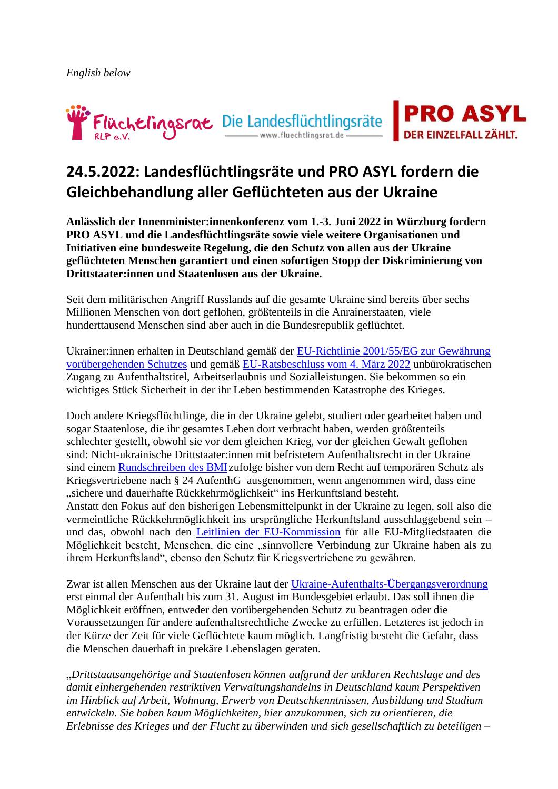



# **24.5.2022: Landesflüchtlingsräte und PRO ASYL fordern die Gleichbehandlung aller Geflüchteten aus der Ukraine**

**Anlässlich der Innenminister:innenkonferenz vom 1.-3. Juni 2022 in Würzburg fordern PRO ASYL und die Landesflüchtlingsräte sowie viele weitere Organisationen und Initiativen eine bundesweite Regelung, die den Schutz von allen aus der Ukraine geflüchteten Menschen garantiert und einen sofortigen Stopp der Diskriminierung von Drittstaater:innen und Staatenlosen aus der Ukraine.**

Seit dem militärischen Angriff Russlands auf die gesamte Ukraine sind bereits über sechs Millionen Menschen von dort geflohen, größtenteils in die Anrainerstaaten, viele hunderttausend Menschen sind aber auch in die Bundesrepublik geflüchtet.

Ukrainer:innen erhalten in Deutschland gemäß der [EU-Richtlinie 2001/55/EG zur Gewährung](https://eur-lex.europa.eu/legal-content/DE/TXT/HTML/?uri=CELEX:32001L0055&from=PL)  [vorübergehenden Schutzes](https://eur-lex.europa.eu/legal-content/DE/TXT/HTML/?uri=CELEX:32001L0055&from=PL) und gemäß [EU-Ratsbeschluss vom 4. März 2022](https://eur-lex.europa.eu/legal-content/DE/TXT/?uri=uriserv%3AOJ.L_.2022.071.01.0001.01.DEU&toc=OJ%3AL%3A2022%3A071%3ATOC) unbürokratischen Zugang zu Aufenthaltstitel, Arbeitserlaubnis und Sozialleistungen. Sie bekommen so ein wichtiges Stück Sicherheit in der ihr Leben bestimmenden Katastrophe des Krieges.

Doch andere Kriegsflüchtlinge, die in der Ukraine gelebt, studiert oder gearbeitet haben und sogar Staatenlose, die ihr gesamtes Leben dort verbracht haben, werden größtenteils schlechter gestellt, obwohl sie vor dem gleichen Krieg, vor der gleichen Gewalt geflohen sind: Nicht-ukrainische Drittstaater:innen mit befristetem Aufenthaltsrecht in der Ukraine sind einem [Rundschreiben des BMIz](https://fluechtlingsrat-berlin.de/wp-content/uploads/bmi_aufenthalt_ukraine_14april22.pdf)ufolge bisher von dem Recht auf temporären Schutz als Kriegsvertriebene nach § 24 AufenthG ausgenommen, wenn angenommen wird, dass eine "sichere und dauerhafte Rückkehrmöglichkeit" ins Herkunftsland besteht. Anstatt den Fokus auf den bisherigen Lebensmittelpunkt in der Ukraine zu legen, soll also die vermeintliche Rückkehrmöglichkeit ins ursprüngliche Herkunftsland ausschlaggebend sein – und das, obwohl nach den [Leitlinien der EU-Kommission](https://fluechtlingsrat-berlin.de/wp-content/uploads/leitlinien_umsetzung_2022-383.pdf) für alle EU-Mitgliedstaaten die Möglichkeit besteht, Menschen, die eine "sinnvollere Verbindung zur Ukraine haben als zu ihrem Herkunftsland", ebenso den Schutz für Kriegsvertriebene zu gewähren.

Zwar ist allen Menschen aus der Ukraine laut der [Ukraine-Aufenthalts-Übergangsverordnung](https://www.bundesanzeiger.de/pub/publication/jPaah7D7T0xoPuPKr2Z/content/jPaah7D7T0xoPuPKr2Z/BAnz%20AT%2003.05.2022%20V1.pdf) erst einmal der Aufenthalt bis zum 31. August im Bundesgebiet erlaubt. Das soll ihnen die Möglichkeit eröffnen, entweder den vorübergehenden Schutz zu beantragen oder die Voraussetzungen für andere aufenthaltsrechtliche Zwecke zu erfüllen. Letzteres ist jedoch in der Kürze der Zeit für viele Geflüchtete kaum möglich. Langfristig besteht die Gefahr, dass die Menschen dauerhaft in prekäre Lebenslagen geraten.

"*Drittstaatsangehörige und Staatenlosen können aufgrund der unklaren Rechtslage und des damit einhergehenden restriktiven Verwaltungshandelns in Deutschland kaum Perspektiven im Hinblick auf Arbeit, Wohnung, Erwerb von Deutschkenntnissen, Ausbildung und Studium entwickeln. Sie haben kaum Möglichkeiten, hier anzukommen, sich zu orientieren, die Erlebnisse des Krieges und der Flucht zu überwinden und sich gesellschaftlich zu beteiligen –*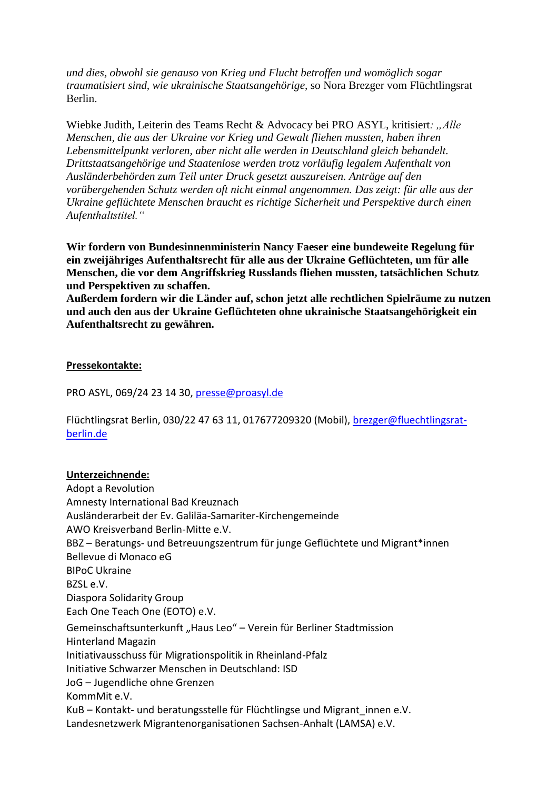*und dies, obwohl sie genauso von Krieg und Flucht betroffen und womöglich sogar traumatisiert sind, wie ukrainische Staatsangehörige,* so Nora Brezger vom Flüchtlingsrat Berlin.

Wiebke Judith, Leiterin des Teams Recht & Advocacy bei PRO ASYL, kritisiert*: "Alle Menschen, die aus der Ukraine vor Krieg und Gewalt fliehen mussten, haben ihren Lebensmittelpunkt verloren, aber nicht alle werden in Deutschland gleich behandelt. Drittstaatsangehörige und Staatenlose werden trotz vorläufig legalem Aufenthalt von Ausländerbehörden zum Teil unter Druck gesetzt auszureisen. Anträge auf den vorübergehenden Schutz werden oft nicht einmal angenommen. Das zeigt: für alle aus der Ukraine geflüchtete Menschen braucht es richtige Sicherheit und Perspektive durch einen Aufenthaltstitel."*

**Wir fordern von Bundesinnenministerin Nancy Faeser eine bundeweite Regelung für ein zweijähriges Aufenthaltsrecht für alle aus der Ukraine Geflüchteten, um für alle Menschen, die vor dem Angriffskrieg Russlands fliehen mussten, tatsächlichen Schutz und Perspektiven zu schaffen.**

**Außerdem fordern wir die Länder auf, schon jetzt alle rechtlichen Spielräume zu nutzen und auch den aus der Ukraine Geflüchteten ohne ukrainische Staatsangehörigkeit ein Aufenthaltsrecht zu gewähren.**

#### **Pressekontakte:**

PRO ASYL, 069/24 23 14 30, [presse@proasyl.de](mailto:presse@proasyl.de)

Flüchtlingsrat Berlin, 030/22 47 63 11, 017677209320 (Mobil), [brezger@fluechtlingsrat](mailto:brezger@fluechtlingsrat-berlin.de)[berlin.de](mailto:brezger@fluechtlingsrat-berlin.de)

#### **Unterzeichnende:**

Adopt a Revolution Amnesty International Bad Kreuznach Ausländerarbeit der Ev. Galiläa-Samariter-Kirchengemeinde AWO Kreisverband Berlin-Mitte e.V. BBZ – Beratungs- und Betreuungszentrum für junge Geflüchtete und Migrant\*innen Bellevue di Monaco eG BIPoC Ukraine BZSL e.V. Diaspora Solidarity Grou[p](https://www.eoto-archiv.de/) [Each One Teach One \(EOTO\) e.V.](https://www.eoto-archiv.de/) Gemeinschaftsunterkunft "Haus Leo" – Verein für Berliner Stadtmission Hinterland Magazin Initiativausschuss für Migrationspolitik in Rheinland-Pfal[z](https://isdonline.de/) [Initiative Schwarzer Menschen in Deutschland: ISD](https://isdonline.de/) JoG – Jugendliche ohne Grenzen KommMit e.V. KuB – Kontakt- und beratungsstelle für Flüchtlingse und Migrant\_innen e.V. Landesnetzwerk Migrantenorganisationen Sachsen-Anhalt (LAMSA) e.V.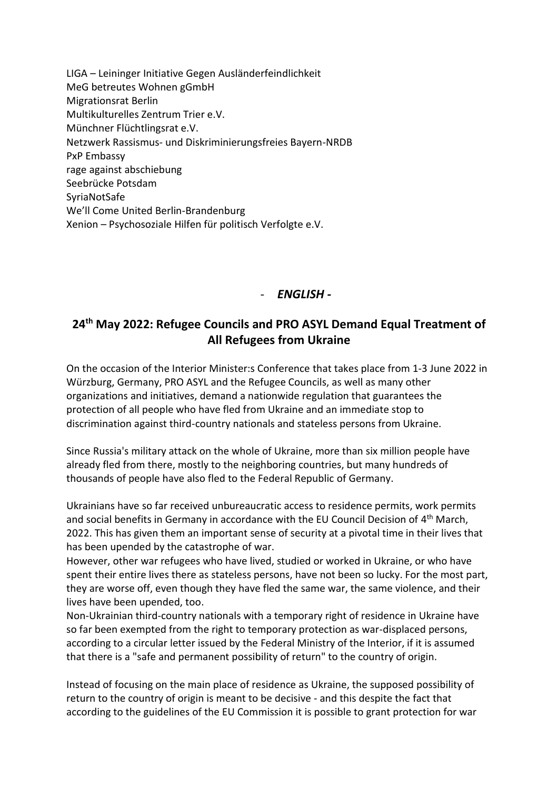LIGA – Leininger Initiative Gegen Ausländerfeindlichkeit MeG betreutes Wohnen gGmbH Migrationsrat Berlin Multikulturelles Zentrum Trier e.V. Münchner Flüchtlingsrat e.V. Netzwerk Rassismus- und Diskriminierungsfreies Bayern-NRDB PxP Embassy rage against abschiebung Seebrücke Potsdam SyriaNotSafe We'll Come United Berlin-Brandenburg Xenion – Psychosoziale Hilfen für politisch Verfolgte e.V.

### - *ENGLISH -*

## **24th May 2022: Refugee Councils and PRO ASYL Demand Equal Treatment of All Refugees from Ukraine**

On the occasion of the Interior Minister:s Conference that takes place from 1-3 June 2022 in Würzburg, Germany, PRO ASYL and the Refugee Councils, as well as many other organizations and initiatives, demand a nationwide regulation that guarantees the protection of all people who have fled from Ukraine and an immediate stop to discrimination against third-country nationals and stateless persons from Ukraine.

Since Russia's military attack on the whole of Ukraine, more than six million people have already fled from there, mostly to the neighboring countries, but many hundreds of thousands of people have also fled to the Federal Republic of Germany.

Ukrainians have so far received unbureaucratic access to residence permits, work permits and social benefits in Germany in accordance with the EU Council Decision of 4<sup>th</sup> March, 2022. This has given them an important sense of security at a pivotal time in their lives that has been upended by the catastrophe of war.

However, other war refugees who have lived, studied or worked in Ukraine, or who have spent their entire lives there as stateless persons, have not been so lucky. For the most part, they are worse off, even though they have fled the same war, the same violence, and their lives have been upended, too.

Non-Ukrainian third-country nationals with a temporary right of residence in Ukraine have so far been exempted from the right to temporary protection as war-displaced persons, according to a circular letter issued by the Federal Ministry of the Interior, if it is assumed that there is a "safe and permanent possibility of return" to the country of origin.

Instead of focusing on the main place of residence as Ukraine, the supposed possibility of return to the country of origin is meant to be decisive - and this despite the fact that according to the guidelines of the EU Commission it is possible to grant protection for war